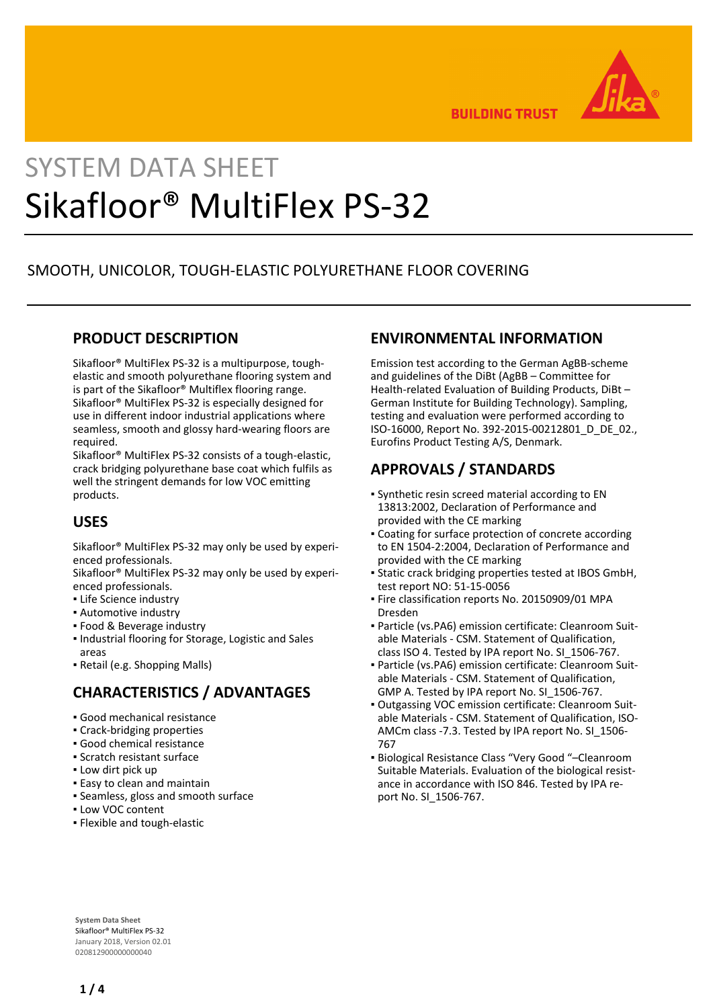

**BUILDING TRUST** 

# SYSTEM DATA SHEET Sikafloor® MultiFlex PS-32

# SMOOTH, UNICOLOR, TOUGH-ELASTIC POLYURETHANE FLOOR COVERING

## **PRODUCT DESCRIPTION**

Sikafloor® MultiFlex PS-32 is a multipurpose, toughelastic and smooth polyurethane flooring system and is part of the Sikafloor® Multiflex flooring range. Sikafloor® MultiFlex PS-32 is especially designed for use in different indoor industrial applications where seamless, smooth and glossy hard-wearing floors are required.

Sikafloor® MultiFlex PS-32 consists of a tough-elastic, crack bridging polyurethane base coat which fulfils as well the stringent demands for low VOC emitting products.

# **USES**

Sikafloor® MultiFlex PS-32 may only be used by experienced professionals.

Sikafloor® MultiFlex PS-32 may only be used by experienced professionals.

- **· Life Science industry**
- Automotive industry
- Food & Beverage industry
- **.** Industrial flooring for Storage, Logistic and Sales areas
- Retail (e.g. Shopping Malls)

# **CHARACTERISTICS / ADVANTAGES**

- Good mechanical resistance
- Crack-bridging properties
- Good chemical resistance
- Scratch resistant surface
- **.** Low dirt pick up
- **Easy to clean and maintain**
- Seamless, gloss and smooth surface
- Low VOC content
- Flexible and tough-elastic

## **ENVIRONMENTAL INFORMATION**

Emission test according to the German AgBB-scheme and guidelines of the DiBt (AgBB – Committee for Health-related Evaluation of Building Products, DiBt – German Institute for Building Technology). Sampling, testing and evaluation were performed according to ISO-16000, Report No. 392-2015-00212801\_D\_DE\_02., Eurofins Product Testing A/S, Denmark.

# **APPROVALS / STANDARDS**

- Synthetic resin screed material according to EN 13813:2002, Declaration of Performance and provided with the CE marking
- Coating for surface protection of concrete according to EN 1504-2:2004, Declaration of Performance and provided with the CE marking
- Static crack bridging properties tested at IBOS GmbH, test report NO: 51-15-0056
- **Fire classification reports No. 20150909/01 MPA** Dresden
- Particle (vs.PA6) emission certificate: Cleanroom Suit-▪ able Materials - CSM. Statement of Qualification, class ISO 4. Tested by IPA report No. SI\_1506-767.
- Particle (vs.PA6) emission certificate: Cleanroom Suit-▪ able Materials - CSM. Statement of Qualification, GMP A. Tested by IPA report No. SI\_1506-767.
- Outgassing VOC emission certificate: Cleanroom Suit-▪ able Materials - CSM. Statement of Qualification, ISO-AMCm class -7.3. Tested by IPA report No. SI\_1506- 767
- Biological Resistance Class "Very Good "–Cleanroom Suitable Materials. Evaluation of the biological resistance in accordance with ISO 846. Tested by IPA report No. SI\_1506-767.

**System Data Sheet** Sikafloor® MultiFlex PS-32 January 2018, Version 02.01 020812900000000040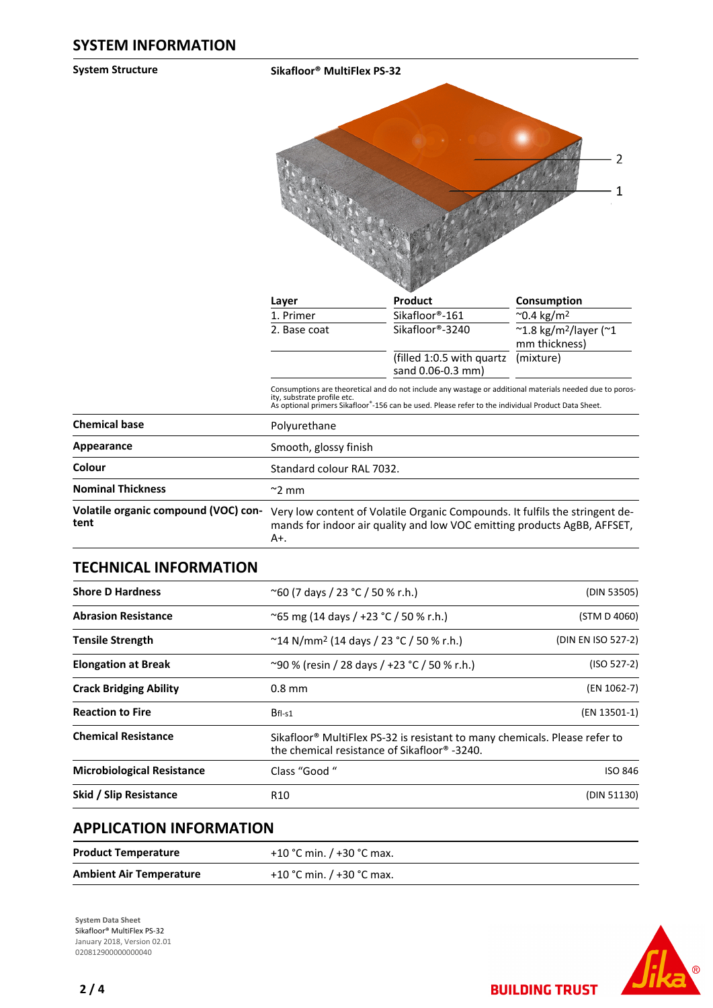**System Structure Sikafloor® MultiFlex PS-32**



| Layer        | <b>Product</b>                                           | Consumption                                                             |
|--------------|----------------------------------------------------------|-------------------------------------------------------------------------|
| 1. Primer    | Sikafloor®-161                                           | $^{\circ}$ 0.4 kg/m <sup>2</sup>                                        |
| 2. Base coat | Sikafloor®-3240                                          | $~^{\sim}$ 1.8 kg/m <sup>2</sup> /layer ( $~^{\sim}$ 1<br>mm thickness) |
|              | (filled 1:0.5 with quartz (mixture)<br>sand 0.06-0.3 mm) |                                                                         |

Consumptions are theoretical and do not include any wastage or additional materials needed due to poros-<br>ity, substrate profile etc.<br>As optional primers Sikafloor®-156 can be used. Please refer to the individual Product Da

| <b>Chemical base</b>                         | Polyurethane                                                                                                                                                    |
|----------------------------------------------|-----------------------------------------------------------------------------------------------------------------------------------------------------------------|
| Appearance                                   | Smooth, glossy finish                                                                                                                                           |
| Colour                                       | Standard colour RAL 7032.                                                                                                                                       |
| <b>Nominal Thickness</b>                     | $\approx$ 2 mm                                                                                                                                                  |
| Volatile organic compound (VOC) con-<br>tent | Very low content of Volatile Organic Compounds. It fulfils the stringent de-<br>mands for indoor air quality and low VOC emitting products AgBB, AFFSET,<br>A+. |

#### **TECHNICAL INFORMATION**

| <b>Shore D Hardness</b>           | $^{\circ}$ 60 (7 days / 23 °C / 50 % r.h.)<br>(DIN 53505)                                                                              |                    |
|-----------------------------------|----------------------------------------------------------------------------------------------------------------------------------------|--------------------|
| <b>Abrasion Resistance</b>        | ~65 mg (14 days / +23 °C / 50 % r.h.)<br>(STM D 4060)                                                                                  |                    |
| <b>Tensile Strength</b>           | $\degree$ 14 N/mm <sup>2</sup> (14 days / 23 $\degree$ C / 50 % r.h.)                                                                  | (DIN EN ISO 527-2) |
| <b>Elongation at Break</b>        | ~90 % (resin / 28 days / +23 °C / 50 % r.h.)                                                                                           |                    |
| <b>Crack Bridging Ability</b>     | $0.8$ mm                                                                                                                               | (EN 1062-7)        |
| <b>Reaction to Fire</b>           | $Bf1-S1$                                                                                                                               | (EN 13501-1)       |
| <b>Chemical Resistance</b>        | Sikafloor <sup>®</sup> MultiFlex PS-32 is resistant to many chemicals. Please refer to<br>the chemical resistance of Sikafloor® -3240. |                    |
| <b>Microbiological Resistance</b> | Class "Good "                                                                                                                          | <b>ISO 846</b>     |
| Skid / Slip Resistance            | R <sub>10</sub>                                                                                                                        | (DIN 51130)        |

## **APPLICATION INFORMATION**

| <b>Product Temperature</b>     | +10 °C min. / +30 °C max. |
|--------------------------------|---------------------------|
| <b>Ambient Air Temperature</b> | +10 °C min. / +30 °C max. |

**System Data Sheet** Sikafloor® MultiFlex PS-32 January 2018, Version 02.01 0208129000000000040



**BUILDING TRUST**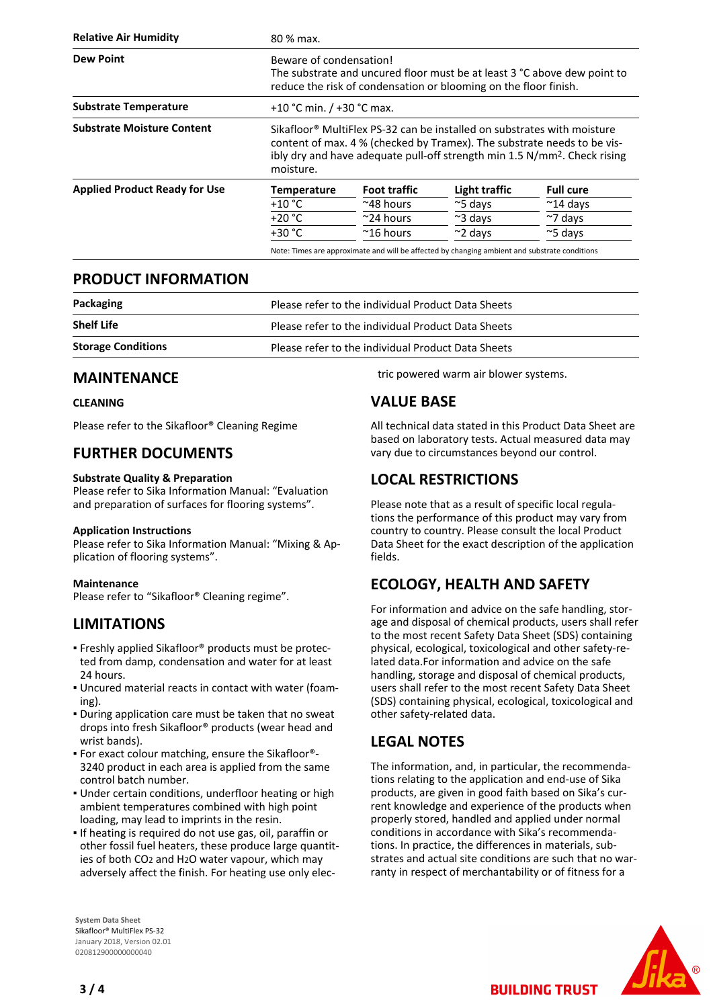| <b>Relative Air Humidity</b>         | 80 % max.                                                                                                                                                                                                                                                            |                     |                  |                    |
|--------------------------------------|----------------------------------------------------------------------------------------------------------------------------------------------------------------------------------------------------------------------------------------------------------------------|---------------------|------------------|--------------------|
| <b>Dew Point</b>                     | Beware of condensation!<br>The substrate and uncured floor must be at least 3 °C above dew point to<br>reduce the risk of condensation or blooming on the floor finish.                                                                                              |                     |                  |                    |
| <b>Substrate Temperature</b>         | +10 °C min. $/$ +30 °C max.                                                                                                                                                                                                                                          |                     |                  |                    |
| <b>Substrate Moisture Content</b>    | Sikafloor <sup>®</sup> MultiFlex PS-32 can be installed on substrates with moisture<br>content of max. 4 % (checked by Tramex). The substrate needs to be vis-<br>ibly dry and have adequate pull-off strength min 1.5 N/mm <sup>2</sup> . Check rising<br>moisture. |                     |                  |                    |
| <b>Applied Product Ready for Use</b> | <b>Temperature</b>                                                                                                                                                                                                                                                   | <b>Foot traffic</b> | Light traffic    | <b>Full cure</b>   |
|                                      | $+10 °C$                                                                                                                                                                                                                                                             | $~^{\sim}$ 48 hours | $\approx$ 5 days | $~^{\sim}$ 14 days |
|                                      | $+20 °C$                                                                                                                                                                                                                                                             | $\approx$ 24 hours  | $\approx$ 3 days | $~\sim$ 7 days     |
|                                      | $+30 °C$                                                                                                                                                                                                                                                             | $~^{\sim}$ 16 hours | $\approx$ 2 days | $\approx$ 5 days   |

Note: Times are approximate and will be affected by changing ambient and substrate conditions

#### **PRODUCT INFORMATION**

| Packaging                 | Please refer to the individual Product Data Sheets |
|---------------------------|----------------------------------------------------|
| <b>Shelf Life</b>         | Please refer to the individual Product Data Sheets |
| <b>Storage Conditions</b> | Please refer to the individual Product Data Sheets |

#### **MAINTENANCE**

#### **CLEANING**

Please refer to the Sikafloor® Cleaning Regime

#### **FURTHER DOCUMENTS**

#### **Substrate Quality & Preparation**

Please refer to Sika Information Manual: "Evaluation and preparation of surfaces for flooring systems".

#### **Application Instructions**

Please refer to Sika Information Manual: "Mixing & Application of flooring systems".

#### **Maintenance**

Please refer to "Sikafloor® Cleaning regime".

#### **LIMITATIONS**

- **Freshly applied Sikafloor® products must be protec**ted from damp, condensation and water for at least 24 hours.
- Uncured material reacts in contact with water (foam-▪ ing).
- **.** During application care must be taken that no sweat drops into fresh Sikafloor® products (wear head and wrist bands).
- For exact colour matching, ensure the Sikafloor®- 3240 product in each area is applied from the same control batch number.
- **.** Under certain conditions, underfloor heating or high ambient temperatures combined with high point loading, may lead to imprints in the resin.
- **.** If heating is required do not use gas, oil, paraffin or other fossil fuel heaters, these produce large quantities of both CO2 and H2O water vapour, which may adversely affect the finish. For heating use only elec-

**System Data Sheet** Sikafloor® MultiFlex PS-32 January 2018, Version 02.01 020812900000000040

tric powered warm air blower systems.

## **VALUE BASE**

All technical data stated in this Product Data Sheet are based on laboratory tests. Actual measured data may vary due to circumstances beyond our control.

## **LOCAL RESTRICTIONS**

Please note that as a result of specific local regulations the performance of this product may vary from country to country. Please consult the local Product Data Sheet for the exact description of the application fields.

# **ECOLOGY, HEALTH AND SAFETY**

For information and advice on the safe handling, storage and disposal of chemical products, users shall refer to the most recent Safety Data Sheet (SDS) containing physical, ecological, toxicological and other safety-related data.For information and advice on the safe handling, storage and disposal of chemical products, users shall refer to the most recent Safety Data Sheet (SDS) containing physical, ecological, toxicological and other safety-related data.

## **LEGAL NOTES**

The information, and, in particular, the recommendations relating to the application and end-use of Sika products, are given in good faith based on Sika's current knowledge and experience of the products when properly stored, handled and applied under normal conditions in accordance with Sika's recommendations. In practice, the differences in materials, substrates and actual site conditions are such that no warranty in respect of merchantability or of fitness for a

**BUILDING TRUST**